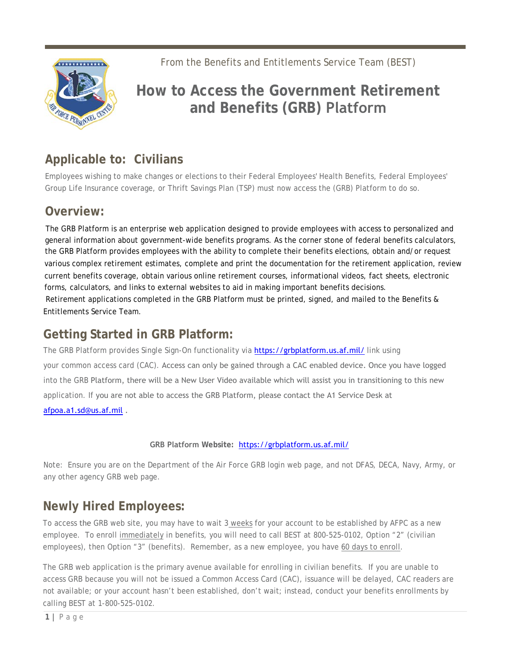From the Benefits and Entitlements Service Team (BEST)



# **How to Access the Government Retirement and Benefits (GRB) Platform**

## **Applicable to: Civilians**

Employees wishing to make changes or elections to their Federal Employees' Health Benefits, Federal Employees' Group Life Insurance coverage, or Thrift Savings Plan (TSP) must now access the (GRB) Platform to do so.

### **Overview:**

The GRB Platform is an enterprise web application designed to provide employees with access to personalized and general information about government-wide benefits programs. As the corner stone of federal benefits calculators, the GRB Platform provides employees with the ability to complete their benefits elections, obtain and/or request various complex retirement estimates, complete and print the documentation for the retirement application, review current benefits coverage, obtain various online retirement courses, informational videos, fact sheets, electronic forms, calculators, and links to external websites to aid in making important benefits decisions. Retirement applications completed in the GRB Platform must be printed, signed, and mailed to the Benefits & Entitlements Service Team.

### **Getting Started in GRB Platform:**

The GRB Platform provides Single Sign-On functionality via https://grbplatform.us.af.mil/ link using your common access card (CAC). Access can only be gained through a CAC enabled device. Once you have logged into the GRB Platform, there will be a New User Video available which will assist you in transitioning to this new application. If you are not able to access the GRB Platform, please contact the A1 Service Desk at afpoa.a1.sd@us.af.mil .

#### **GRB Platform Website:** https://grbplatform.us.af.mil/

Note: Ensure you are on the Department of the Air Force GRB login web page, and not DFAS, DECA, Navy, Army, or any other agency GRB web page.

## **Newly Hired Employees:**

To access the GRB web site, you may have to wait 3 weeks for your account to be established by AFPC as a new employee. To enroll immediately in benefits, you will need to call BEST at 800-525-0102, Option "2" (civilian employees), then Option "3" (benefits). Remember, as a new employee, you have 60 days to enroll.

The GRB web application is the primary avenue available for enrolling in civilian benefits. If you are unable to access GRB because you will not be issued a Common Access Card (CAC), issuance will be delayed, CAC readers are not available; or your account hasn't been established, don't wait; instead, conduct your benefits enrollments by calling BEST at 1-800-525-0102.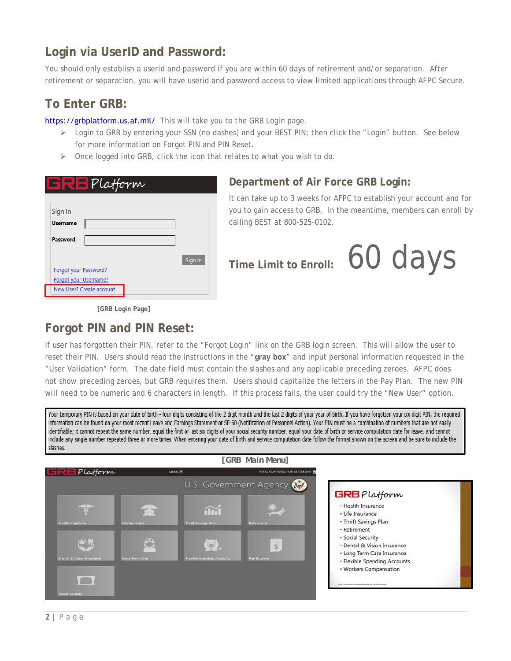### **Login via UserID and Password:**

You should only establish a userid and password if you are within 60 days of retirement and/or separation. After retirement or separation, you will have userid and password access to view limited applications through AFPC Secure.

#### **To Enter GRB:**

https://grbplatform.us.af.mil/ This will take you to the GRB Login page.

- $\triangleright$  Login to GRB by entering your SSN (no dashes) and your BEST PIN; then click the "Login" button. See below for more information on Forgot PIN and PIN Reset.
- $\triangleright$  Once logged into GRB, click the icon that relates to what you wish to do.

| B Platform                 |         |
|----------------------------|---------|
|                            |         |
| Sign In<br><b>Username</b> |         |
| Password                   |         |
|                            | Sign In |
| Forgot your Password?      |         |
| Forgot your Username?      |         |
| New User? Create account   |         |

#### **Department of Air Force GRB Login:**

It can take up to 3 weeks for AFPC to establish your account and for you to gain access to GRB. In the meantime, members can enroll by calling BEST at 800-525-0102.

**Time Limit to Enroll:** 60 days

**[GRB Login Page]** 

#### **Forgot PIN and PIN Reset:**

If user has forgotten their PIN, refer to the "Forgot Login" link on the GRB login screen. This will allow the user to reset their PIN. Users should read the instructions in the "**gray box**" and input personal information requested in the "User Validation" form. The date field must contain the slashes and any applicable preceding zeroes. AFPC does not show preceding zeroes, but GRB requires them. Users should capitalize the letters in the Pay Plan. The new PIN will need to be numeric and 6 characters in length. If this process fails, the user could try the "New User" option.

Your temporary PIN is based on your date of birth - four digits consisting of the 2 digit month and the last 2 digits of your year of birth. If you have forgotten your six digit PIN, the required information can be found on your most recent Leave and Earnings Statement or SF-50 (Notification of Personnel Action). Your PIN must be a combination of numbers that are not easily identifiable; it cannot repeat the same number, equal the first or last six digits of your social security number, equal your date of birth or service computation date for leave, and cannot include any single number repeated three or more times. When entering your date of birth and service computation date follow the format shown on the screen and be sure to include the slashes.